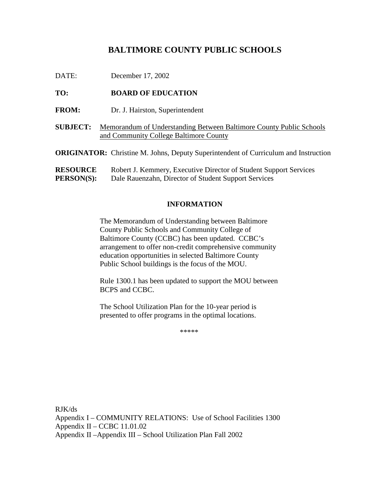# BALTIMORE COUNTYPUBLICS CHOOLS

## TO: **BOARDOFEDUCATION**

- FROM: Dr.J. Hairston, Superintendent
- **SUBJECT:** Memorandum of Understanding Between Baltimore County Public Schools and Community College Baltimore County
- **ORIGINATOR:** Christine M. Johns, Deputy Superintendent of Curriculum and Instruction

| <b>RESOURCE</b>   | RobertJ.Kemmery,ExecutiveDirectorofStudentSupportServices |
|-------------------|-----------------------------------------------------------|
| <b>PERSON(S):</b> | DaleRauenzahn, Director of Student Support Services       |

## **INFORMATION**

The Memorandum of Understa nding between Baltimore County Public Schools and Community College of Baltimore County (CCBC) has been updated. CCBC's arrangement to offer non-credit comprehensive community education opportunities in selected Baltimore County Public School buildings is the focus of the MOU.

Rule 1300.1 has been updated to support the MOU between BCPS and CCBC.

The School Utilization Planfor the 10 -year period is presented to offer programs in the optimal locations.

\*\*\*\*\*

RJK/ds AppendixI - COMMUNITY RELATI ONS: Use of School Facilities 1300 Appendix II  $-$ CCBC11.01.02 AppendixII –AppendixIII –SchoolUtilizationPlanFall2002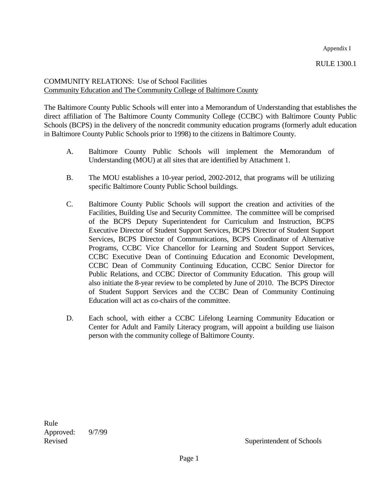Appendix I

RULE 1300.1

COMMUNITYRELATIONS: Use of School Facilities Community Education and The Community College of Baltimore County

The Baltimore County Public Schools will enter into a Memorandum of Understanding that establishes the direct affilia tion of The Baltimore County Community College (CCBC) with Baltimore County Public Schools (BCPS) in the delivery of the noncredit community education programs (formerly adulteducation in Baltimore County Public Schools prior to 1998) to the citizens in B altimore County.

- A. Baltimore County Public Schools will implement the Memorandum of Understanding (MOU) at all sites that are identified by Attachment 1.
- B. The MOU establishes a 10 -year period, 2002 -2012, that programs will be utilizing specific Baltimore Co unty Public School buildings.
- C. Baltimore County Public Schools will support the creation and activities of the Facilities, Building Use and Security Committee. The committee will be comprised of the BCPS Deputy Superintendent for Curriculum and Instructio n, BCPS Executive Director of Student Support Services, BCPS Director of Student Support Services, BCPS Director of Communications, BCPS Coordinator of Alternative Programs, CCBC Vice Chancellor for Learning and Student Support Services, CCBC Executive Dea n of Continuing Education and Economic Development, CCBC Dean of Community Continuing Education, CCBC Senior Director for Public Relations, and CCBC Director of Community Education. This group will also initiate the 8 -year review to be completed by June o f 2010. The BCPS Director of Student Support Services and the CCBC Dean of Community Continuing Education will act as co -chairs of the committee.
- D. Each school, with either a CCBC Lifelong Learning Community Education or Center for Adult and Family Literac y program, will appoint a building use liaison person with the community college of Baltimore County.

Rule Approved: 9/7/99

Revised Superintendent of Schools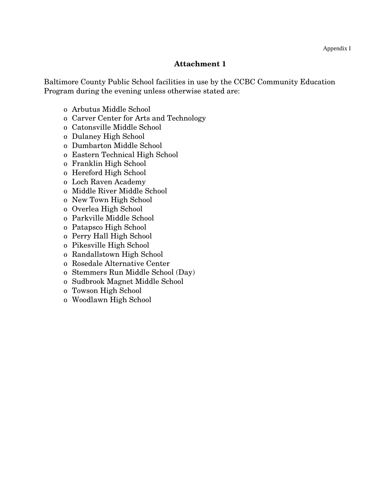# **Attachment 1**

Baltimore County Public School facilities in use by the CCBC Community Education Program during the evening unless otherwise stated are:

- o Arbutus Middle School
- o Carver Center for Arts and Technology
- o Catonsville Middle School
- o Dulaney High School
- o Dumbarton Middle School
- o Eastern Technical High School
- o Franklin High School
- o Hereford High School
- o Loch Raven Academy
- o Middle River Middle School
- o New Town High School
- o Overlea High School
- o Parkville Middle School
- o Patapsco High School
- o Perry Hall High School
- o Pikesville High School
- o Randallstown High School
- o Rosedale Alternative Center
- o Stemmers Run Middle School (Day)
- o Sudbrook Magnet Middle School
- o Towson High School
- o Woodlawn High School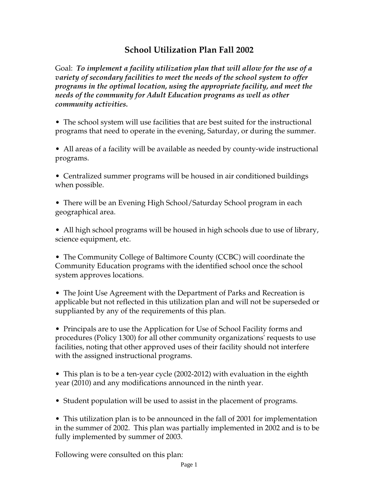# **School Utilization Plan Fall 2002**

Goal: *To implement a facility utilization plan that will allow for the use of a variety of secondary facilities to meet the needs of the school system to offer programs in the optimal location, using the appropriate facility, and meet the needs of the community for Adult Education programs as well as other community activities.* 

• The school system will use facilities that are best suited for the instructional programs that need to operate in the evening, Saturday, or during the summer.

• All areas of a facility will be available as needed by county-wide instructional programs.

• Centralized summer programs will be housed in air conditioned buildings when possible.

• There will be an Evening High School/Saturday School program in each geographical area.

• All high school programs will be housed in high schools due to use of library, science equipment, etc.

• The Community College of Baltimore County (CCBC) will coordinate the Community Education programs with the identified school once the school system approves locations.

• The Joint Use Agreement with the Department of Parks and Recreation is applicable but not reflected in this utilization plan and will not be superseded or supplianted by any of the requirements of this plan.

• Principals are to use the Application for Use of School Facility forms and procedures (Policy 1300) for all other community organizations' requests to use facilities, noting that other approved uses of their facility should not interfere with the assigned instructional programs.

• This plan is to be a ten-year cycle (2002-2012) with evaluation in the eighth year (2010) and any modifications announced in the ninth year.

• Student population will be used to assist in the placement of programs.

• This utilization plan is to be announced in the fall of 2001 for implementation in the summer of 2002. This plan was partially implemented in 2002 and is to be fully implemented by summer of 2003.

Following were consulted on this plan: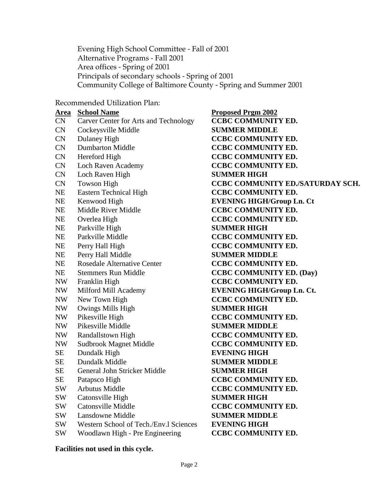Evening High School Committee - Fall of 2001 Alternative Programs - Fall 2001 Area offices - Spring of 2001 Principals of secondary schools - Spring of 2001 Community College of Baltimore County - Spring and Summer 2001

Recommended Utilization Plan:

- CN Carver Center for Arts and Technology **CCBC COMMUNITYED.**
- CN CockeysvilleMiddle **SUMMERMIDDLE**
- 
- 
- 
- CN Loch Raven Academy **CCBC COMMUNITYED.**
- CN Loch Raven High **SUMMER HIGH**
- 
- NE Eastern Technical High **CCBC COMMUNITYED.**
- 
- 
- 
- NE ParkvilleHigh **SUMMERHIGH**
- 
- 
- NE PerryHallMiddle **SUMMERMIDDLE**
- NE Rosedale Alternative Center **CCBC C OMMUNITY ED.**
- 
- 
- 
- 
- NW OwingsMillsHigh **SUMMERHIGH**
- 
- NW PikesvilleMiddle **SUMMERMIDDLE**
- 
- NW SudbrookMagnetMiddle **CCBCCOMMUNITYED.**
- SE Dundalk High **EVENING HIGH**
- SE Dundalk Middle **SUMMER MIDDLE**
- SE General John Stricker Middle **SUMMER H IGH**
- 
- 
- SW Catonsville High **SUMMER HIGH**
- 
- SW Lansdowne Middle **SUMMER MIDDLE**
- SW WesternSchoolofTech./Env.lSciences **EVENINGHIGH**
- SW WoodlawnHigh -PreEngineering **CCBCCOMMUNITYED.**

**Area School Name Proposed Prgm 2002** CN DulaneyHigh **CCBCCOMMUNITYED.** CN Dumbarton Middle **CCBC COMMUNITY ED.** CN Hereford High **CCBC COMMUNI TYED.** CN TowsonHigh **CCBCCOMMUNITYED./SATURDAYSCH.** NE KenwoodHigh **EVENINGHIGH/GroupLn.Ct** NE Middle River Middle **CCBC COMMUNITY ED.** NE Overlea High **CCBC COMMUNITY ED.** NE Parkville Middle **CCBC COMMUNITYED.** NE Perry Hall High **CCBC COMMUNITY ED.** NE Stemmers Run Middle **CCBC COMMUNITY ED.** (Day) NW Franklin High **CCBC COMMUNITYED.** NW Milford Mill Academy **EVENING HIGH/Group Ln. Ct.** NW NewTownHigh **CCBCCOMMUNITYED.** NW PikesvilleHigh **CCBCCOMMUNITYED.** NW Randallstown High **CCBC COMMUNITY ED.** SE PatapscoHigh **CCBCCOMMUNITYED.** SW Arbutus Middle **CCBC COMMUNITYED.** SW CatonsvilleMiddle **CCBCCOMMUNITYED.** 

### **Facilities not used in this cycle.**